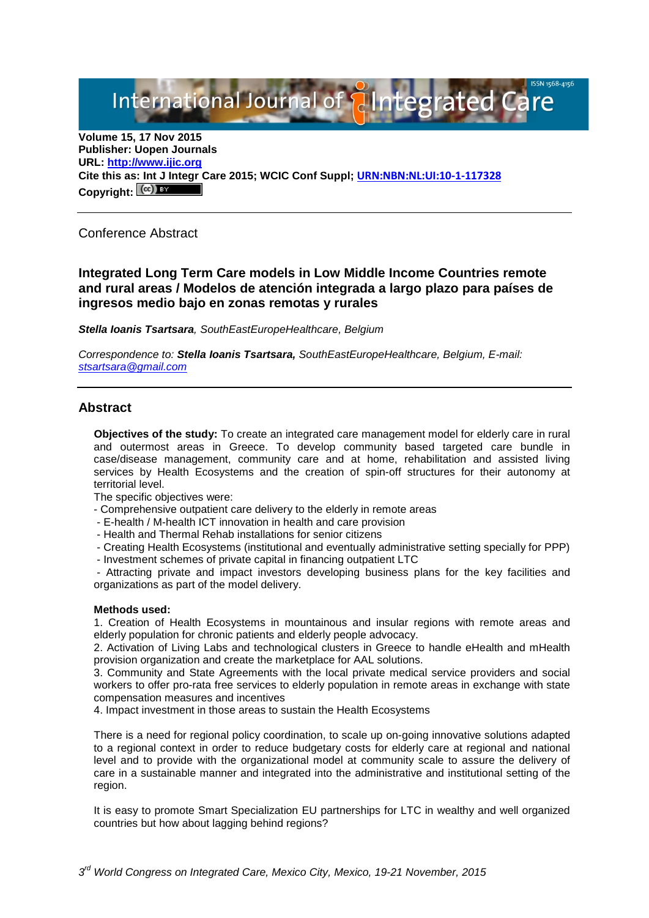International Journal of **Alntegrated Care** 

**Volume 15, 17 Nov 2015 Publisher: Uopen Journals URL: [http://www.ijic.org](http://www.ijic.org/) Cite this as: Int J Integr Care 2015; WCIC Conf Suppl; [URN:NBN:NL:UI:10-1-117328](http://persistent-identifier.nl/?identifier=URN:NBN:NL:UI:10-1-117328)** Copyright:  $(cc)$ 

Conference Abstract

**Integrated Long Term Care models in Low Middle Income Countries remote and rural areas / Modelos de atención integrada a largo plazo para países de ingresos medio bajo en zonas remotas y rurales**

*Stella Ioanis Tsartsara, SouthEastEuropeHealthcare, Belgium*

*Correspondence to: Stella Ioanis Tsartsara, SouthEastEuropeHealthcare, Belgium, E-mail: [stsartsara@gmail.com](mailto:STSARTSARA@GMAIL.COM)*

### **Abstract**

**Objectives of the study:** To create an integrated care management model for elderly care in rural and outermost areas in Greece. To develop community based targeted care bundle in case/disease management, community care and at home, rehabilitation and assisted living services by Health Ecosystems and the creation of spin-off structures for their autonomy at territorial level.

The specific objectives were:

- Comprehensive outpatient care delivery to the elderly in remote areas
- E-health / M-health ICT innovation in health and care provision
- Health and Thermal Rehab installations for senior citizens
- Creating Health Ecosystems (institutional and eventually administrative setting specially for PPP)
- Investment schemes of private capital in financing outpatient LTC

- Attracting private and impact investors developing business plans for the key facilities and organizations as part of the model delivery.

### **Methods used:**

1. Creation of Health Ecosystems in mountainous and insular regions with remote areas and elderly population for chronic patients and elderly people advocacy.

2. Activation of Living Labs and technological clusters in Greece to handle eHealth and mHealth provision organization and create the marketplace for AAL solutions.

3. Community and State Agreements with the local private medical service providers and social workers to offer pro-rata free services to elderly population in remote areas in exchange with state compensation measures and incentives

4. Impact investment in those areas to sustain the Health Ecosystems

There is a need for regional policy coordination, to scale up on-going innovative solutions adapted to a regional context in order to reduce budgetary costs for elderly care at regional and national level and to provide with the organizational model at community scale to assure the delivery of care in a sustainable manner and integrated into the administrative and institutional setting of the region.

It is easy to promote Smart Specialization EU partnerships for LTC in wealthy and well organized countries but how about lagging behind regions?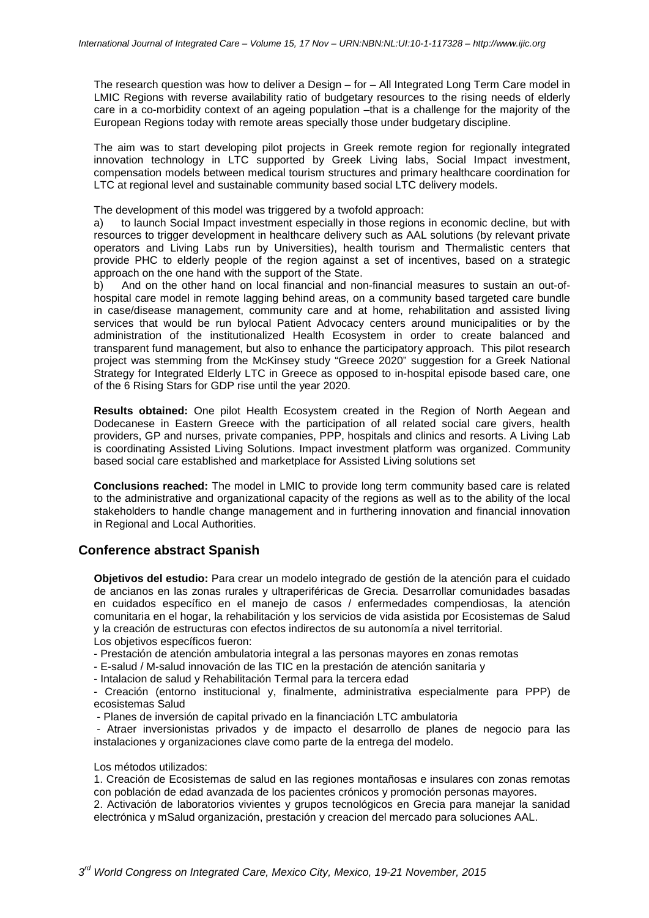The research question was how to deliver a Design – for – All Integrated Long Term Care model in LMIC Regions with reverse availability ratio of budgetary resources to the rising needs of elderly care in a co-morbidity context of an ageing population –that is a challenge for the majority of the European Regions today with remote areas specially those under budgetary discipline.

The aim was to start developing pilot projects in Greek remote region for regionally integrated innovation technology in LTC supported by Greek Living labs, Social Impact investment, compensation models between medical tourism structures and primary healthcare coordination for LTC at regional level and sustainable community based social LTC delivery models.

The development of this model was triggered by a twofold approach:

a) to launch Social Impact investment especially in those regions in economic decline, but with resources to trigger development in healthcare delivery such as AAL solutions (by relevant private operators and Living Labs run by Universities), health tourism and Thermalistic centers that provide PHC to elderly people of the region against a set of incentives, based on a strategic approach on the one hand with the support of the State.<br>b) And on the other hand on local financial and no

And on the other hand on local financial and non-financial measures to sustain an out-ofhospital care model in remote lagging behind areas, on a community based targeted care bundle in case/disease management, community care and at home, rehabilitation and assisted living services that would be run bylocal Patient Advocacy centers around municipalities or by the administration of the institutionalized Health Ecosystem in order to create balanced and transparent fund management, but also to enhance the participatory approach. This pilot research project was stemming from the McKinsey study "Greece 2020" suggestion for a Greek National Strategy for Integrated Elderly LTC in Greece as opposed to in-hospital episode based care, one of the 6 Rising Stars for GDP rise until the year 2020.

**Results obtained:** One pilot Health Ecosystem created in the Region of North Aegean and Dodecanese in Eastern Greece with the participation of all related social care givers, health providers, GP and nurses, private companies, PPP, hospitals and clinics and resorts. A Living Lab is coordinating Assisted Living Solutions. Impact investment platform was organized. Community based social care established and marketplace for Assisted Living solutions set

**Conclusions reached:** The model in LMIC to provide long term community based care is related to the administrative and organizational capacity of the regions as well as to the ability of the local stakeholders to handle change management and in furthering innovation and financial innovation in Regional and Local Authorities.

# **Conference abstract Spanish**

**Objetivos del estudio:** Para crear un modelo integrado de gestión de la atención para el cuidado de ancianos en las zonas rurales y ultraperiféricas de Grecia. Desarrollar comunidades basadas en cuidados específico en el manejo de casos / enfermedades compendiosas, la atención comunitaria en el hogar, la rehabilitación y los servicios de vida asistida por Ecosistemas de Salud y la creación de estructuras con efectos indirectos de su autonomía a nivel territorial. Los objetivos específicos fueron:

- Prestación de atención ambulatoria integral a las personas mayores en zonas remotas

- E-salud / M-salud innovación de las TIC en la prestación de atención sanitaria y

- Intalacion de salud y Rehabilitación Termal para la tercera edad

- Creación (entorno institucional y, finalmente, administrativa especialmente para PPP) de ecosistemas Salud

- Planes de inversión de capital privado en la financiación LTC ambulatoria

- Atraer inversionistas privados y de impacto el desarrollo de planes de negocio para las instalaciones y organizaciones clave como parte de la entrega del modelo.

#### Los métodos utilizados:

1. Creación de Ecosistemas de salud en las regiones montañosas e insulares con zonas remotas con población de edad avanzada de los pacientes crónicos y promoción personas mayores. 2. Activación de laboratorios vivientes y grupos tecnológicos en Grecia para manejar la sanidad electrónica y mSalud organización, prestación y creacion del mercado para soluciones AAL.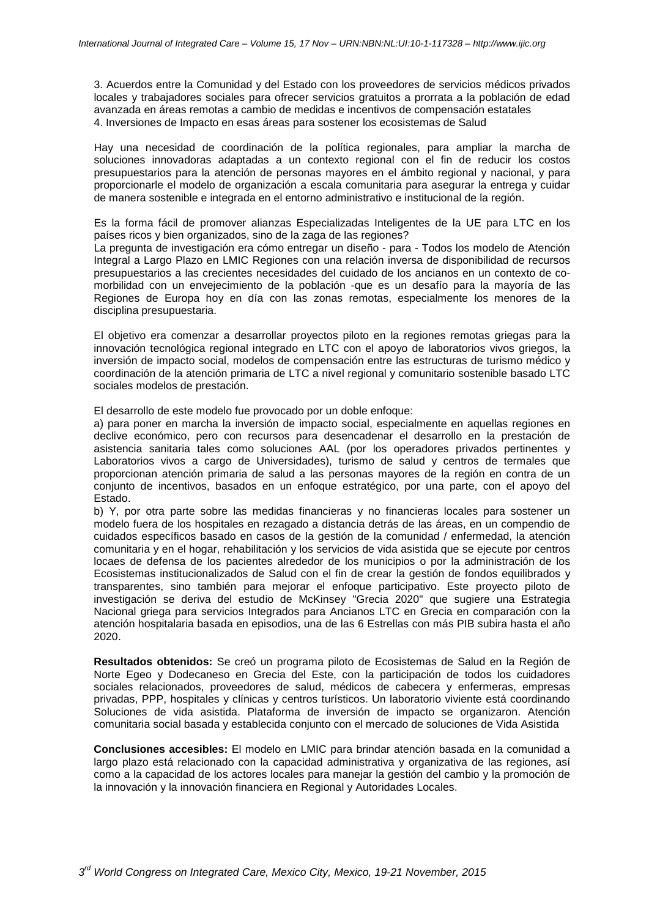3. Acuerdos entre la Comunidad y del Estado con los proveedores de servicios médicos privados locales y trabajadores sociales para ofrecer servicios gratuitos a prorrata a la población de edad avanzada en áreas remotas a cambio de medidas e incentivos de compensación estatales 4. Inversiones de Impacto en esas áreas para sostener los ecosistemas de Salud

Hay una necesidad de coordinación de la política regionales, para ampliar la marcha de soluciones innovadoras adaptadas a un contexto regional con el fin de reducir los costos presupuestarios para la atención de personas mayores en el ámbito regional y nacional, y para proporcionarle el modelo de organización a escala comunitaria para asegurar la entrega y cuidar de manera sostenible e integrada en el entorno administrativo e institucional de la región.

Es la forma fácil de promover alianzas Especializadas Inteligentes de la UE para LTC en los países ricos y bien organizados, sino de la zaga de las regiones?

La pregunta de investigación era cómo entregar un diseño - para - Todos los modelo de Atención Integral a Largo Plazo en LMIC Regiones con una relación inversa de disponibilidad de recursos presupuestarios a las crecientes necesidades del cuidado de los ancianos en un contexto de comorbilidad con un envejecimiento de la población -que es un desafío para la mayoría de las Regiones de Europa hoy en día con las zonas remotas, especialmente los menores de la disciplina presupuestaria.

El objetivo era comenzar a desarrollar proyectos piloto en la regiones remotas griegas para la innovación tecnológica regional integrado en LTC con el apoyo de laboratorios vivos griegos, la inversión de impacto social, modelos de compensación entre las estructuras de turismo médico y coordinación de la atención primaria de LTC a nivel regional y comunitario sostenible basado LTC sociales modelos de prestación.

El desarrollo de este modelo fue provocado por un doble enfoque:

a) para poner en marcha la inversión de impacto social, especialmente en aquellas regiones en declive económico, pero con recursos para desencadenar el desarrollo en la prestación de asistencia sanitaria tales como soluciones AAL (por los operadores privados pertinentes y Laboratorios vivos a cargo de Universidades), turismo de salud y centros de termales que proporcionan atención primaria de salud a las personas mayores de la región en contra de un conjunto de incentivos, basados en un enfoque estratégico, por una parte, con el apoyo del Estado.

b) Y, por otra parte sobre las medidas financieras y no financieras locales para sostener un modelo fuera de los hospitales en rezagado a distancia detrás de las áreas, en un compendio de cuidados específicos basado en casos de la gestión de la comunidad / enfermedad, la atención comunitaria y en el hogar, rehabilitación y los servicios de vida asistida que se ejecute por centros locaes de defensa de los pacientes alrededor de los municipios o por la administración de los Ecosistemas institucionalizados de Salud con el fin de crear la gestión de fondos equilibrados y transparentes, sino también para mejorar el enfoque participativo. Este proyecto piloto de investigación se deriva del estudio de McKinsey "Grecia 2020" que sugiere una Estrategia Nacional griega para servicios Integrados para Ancianos LTC en Grecia en comparación con la atención hospitalaria basada en episodios, una de las 6 Estrellas con más PIB subira hasta el año 2020.

**Resultados obtenidos:** Se creó un programa piloto de Ecosistemas de Salud en la Región de Norte Egeo y Dodecaneso en Grecia del Este, con la participación de todos los cuidadores sociales relacionados, proveedores de salud, médicos de cabecera y enfermeras, empresas privadas, PPP, hospitales y clínicas y centros turísticos. Un laboratorio viviente está coordinando Soluciones de vida asistida. Plataforma de inversión de impacto se organizaron. Atención comunitaria social basada y establecida conjunto con el mercado de soluciones de Vida Asistida

**Conclusiones accesibles:** El modelo en LMIC para brindar atención basada en la comunidad a largo plazo está relacionado con la capacidad administrativa y organizativa de las regiones, así como a la capacidad de los actores locales para manejar la gestión del cambio y la promoción de la innovación y la innovación financiera en Regional y Autoridades Locales.